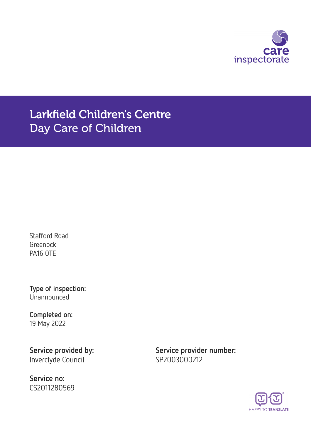

Larkfield Children's Centre Day Care of Children

Stafford Road Greenock PA16 0TE

Type of inspection: Unannounced

Completed on: 19 May 2022

Inverclyde Council SP2003000212

Service no: CS2011280569

Service provided by: Service provider number:

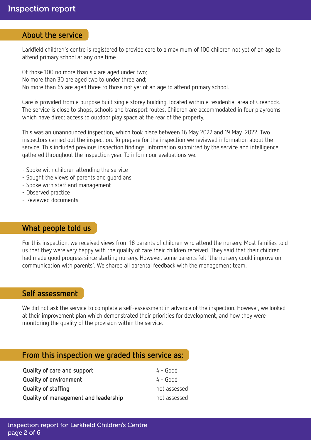## About the service

Larkfield children's centre is registered to provide care to a maximum of 100 children not yet of an age to attend primary school at any one time.

Of those 100 no more than six are aged under two; No more than 30 are aged two to under three and; No more than 64 are aged three to those not yet of an age to attend primary school.

Care is provided from a purpose built single storey building, located within a residential area of Greenock. The service is close to shops, schools and transport routes. Children are accommodated in four playrooms which have direct access to outdoor play space at the rear of the property.

This was an unannounced inspection, which took place between 16 May 2022 and 19 May 2022. Two inspectors carried out the inspection. To prepare for the inspection we reviewed information about the service. This included previous inspection findings, information submitted by the service and intelligence gathered throughout the inspection year. To inform our evaluations we:

- Spoke with children attending the service
- Sought the views of parents and guardians
- Spoke with staff and management
- Observed practice
- Reviewed documents.

## What people told us

For this inspection, we received views from 18 parents of children who attend the nursery. Most families told us that they were very happy with the quality of care their children received. They said that their children had made good progress since starting nursery. However, some parents felt 'the nursery could improve on communication with parents'. We shared all parental feedback with the management team.

### Self assessment

We did not ask the service to complete a self-assessment in advance of the inspection. However, we looked at their improvement plan which demonstrated their priorities for development, and how they were monitoring the quality of the provision within the service.

# From this inspection we graded this service as:

| Quality of care and support          | $4 - Good$   |
|--------------------------------------|--------------|
| <b>Quality of environment</b>        | $4 -$ Good   |
| <b>Quality of staffing</b>           | not assessed |
| Quality of management and leadership | not assessed |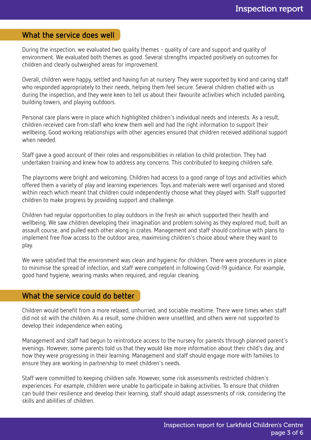# What the service does well

During the inspection, we evaluated two quality themes - quality of care and support and quality of environment. We evaluated both themes as good. Several strengths impacted positively on outcomes for children and clearly outweighed areas for improvement.

Overall, children were happy, settled and having fun at nursery. They were supported by kind and caring staff who responded appropriately to their needs, helping them feel secure. Several children chatted with us during the inspection, and they were keen to tell us about their favourite activities which included painting, building towers, and playing outdoors.

Personal care plans were in place which highlighted children's individual needs and interests. As a result, children received care from staff who knew them well and had the right information to support their wellbeing. Good working relationships with other agencies ensured that children received additional support when needed.

Staff gave a good account of their roles and responsibilities in relation to child protection. They had undertaken training and knew how to address any concerns. This contributed to keeping children safe.

The playrooms were bright and welcoming. Children had access to a good range of toys and activities which offered them a variety of play and learning experiences. Toys and materials were well organised and stored within reach which meant that children could independently choose what they played with. Staff supported children to make progress by providing support and challenge.

Children had regular opportunities to play outdoors in the fresh air which supported their health and wellbeing. We saw children developing their imagination and problem solving as they explored mud, built an assault course, and pulled each other along in crates. Management and staff should continue with plans to implement free flow access to the outdoor area, maximising children's choice about where they want to play.

We were satisfied that the environment was clean and hygienic for children. There were procedures in place to minimise the spread of infection, and staff were competent in following Covid-19 guidance. For example, good hand hygiene, wearing masks when required, and regular cleaning.

# What the service could do better

Children would benefit from a more relaxed, unhurried, and sociable mealtime. There were times when staff did not sit with the children. As a result, some children were unsettled, and others were not supported to develop their independence when eating.

Management and staff had begun to reintroduce access to the nursery for parents through planned parent's evenings. However, some parents told us that they would like more information about their child's day, and how they were progressing in their learning. Management and staff should engage more with families to ensure they are working in partnership to meet children's needs.

Staff were committed to keeping children safe. However, some risk assessments restricted children's experiences. For example, children were unable to participate in baking activities. To ensure that children can build their resilience and develop their learning, staff should adapt assessments of risk, considering the skills and abilities of children.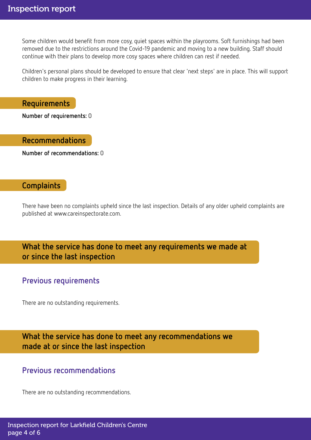Some children would benefit from more cosy, quiet spaces within the playrooms. Soft furnishings had been removed due to the restrictions around the Covid-19 pandemic and moving to a new building. Staff should continue with their plans to develop more cosy spaces where children can rest if needed.

Children's personal plans should be developed to ensure that clear 'next steps' are in place. This will support children to make progress in their learning.

Requirements

Number of requirements: 0

Recommendations

Number of recommendations: 0

# **Complaints**

There have been no complaints upheld since the last inspection. Details of any older upheld complaints are published at www.careinspectorate.com.

What the service has done to meet any requirements we made at or since the last inspection

# Previous requirements

There are no outstanding requirements.

What the service has done to meet any recommendations we made at or since the last inspection

# Previous recommendations

There are no outstanding recommendations.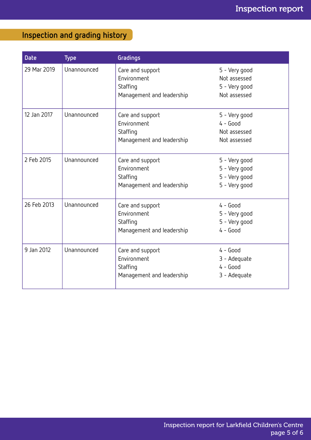# Inspection and grading history

| <b>Date</b> | <b>Type</b> | Gradings                                                                 |                                                                  |
|-------------|-------------|--------------------------------------------------------------------------|------------------------------------------------------------------|
| 29 Mar 2019 | Unannounced | Care and support<br>Environment<br>Staffing<br>Management and leadership | 5 - Very good<br>Not assessed<br>5 - Very good<br>Not assessed   |
| 12 Jan 2017 | Unannounced | Care and support<br>Environment<br>Staffing<br>Management and leadership | 5 - Very good<br>$4 - Good$<br>Not assessed<br>Not assessed      |
| 2 Feb 2015  | Unannounced | Care and support<br>Environment<br>Staffing<br>Management and leadership | 5 - Very good<br>5 - Very good<br>5 - Very good<br>5 - Very good |
| 26 Feb 2013 | Unannounced | Care and support<br>Environment<br>Staffing<br>Management and leadership | $4 - Good$<br>5 - Very good<br>5 - Very good<br>$4 - Good$       |
| 9 Jan 2012  | Unannounced | Care and support<br>Environment<br>Staffing<br>Management and leadership | $4 - Good$<br>3 - Adequate<br>$4 - Good$<br>3 - Adequate         |